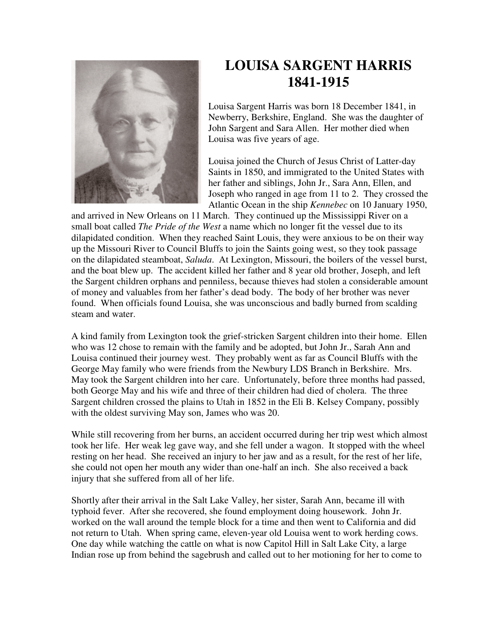

## **LOUISA SARGENT HARRIS 1841-1915**

Louisa Sargent Harris was born 18 December 1841, in Newberry, Berkshire, England. She was the daughter of John Sargent and Sara Allen. Her mother died when Louisa was five years of age.

Louisa joined the Church of Jesus Christ of Latter-day Saints in 1850, and immigrated to the United States with her father and siblings, John Jr., Sara Ann, Ellen, and Joseph who ranged in age from 11 to 2. They crossed the Atlantic Ocean in the ship *Kennebec* on 10 January 1950,

and arrived in New Orleans on 11 March. They continued up the Mississippi River on a small boat called *The Pride of the West* a name which no longer fit the vessel due to its dilapidated condition. When they reached Saint Louis, they were anxious to be on their way up the Missouri River to Council Bluffs to join the Saints going west, so they took passage on the dilapidated steamboat, *Saluda*. At Lexington, Missouri, the boilers of the vessel burst, and the boat blew up. The accident killed her father and 8 year old brother, Joseph, and left the Sargent children orphans and penniless, because thieves had stolen a considerable amount of money and valuables from her father's dead body. The body of her brother was never found. When officials found Louisa, she was unconscious and badly burned from scalding steam and water.

A kind family from Lexington took the grief-stricken Sargent children into their home. Ellen who was 12 chose to remain with the family and be adopted, but John Jr., Sarah Ann and Louisa continued their journey west. They probably went as far as Council Bluffs with the George May family who were friends from the Newbury LDS Branch in Berkshire. Mrs. May took the Sargent children into her care. Unfortunately, before three months had passed, both George May and his wife and three of their children had died of cholera. The three Sargent children crossed the plains to Utah in 1852 in the Eli B. Kelsey Company, possibly with the oldest surviving May son, James who was 20.

While still recovering from her burns, an accident occurred during her trip west which almost took her life. Her weak leg gave way, and she fell under a wagon. It stopped with the wheel resting on her head. She received an injury to her jaw and as a result, for the rest of her life, she could not open her mouth any wider than one-half an inch. She also received a back injury that she suffered from all of her life.

Shortly after their arrival in the Salt Lake Valley, her sister, Sarah Ann, became ill with typhoid fever. After she recovered, she found employment doing housework. John Jr. worked on the wall around the temple block for a time and then went to California and did not return to Utah. When spring came, eleven-year old Louisa went to work herding cows. One day while watching the cattle on what is now Capitol Hill in Salt Lake City, a large Indian rose up from behind the sagebrush and called out to her motioning for her to come to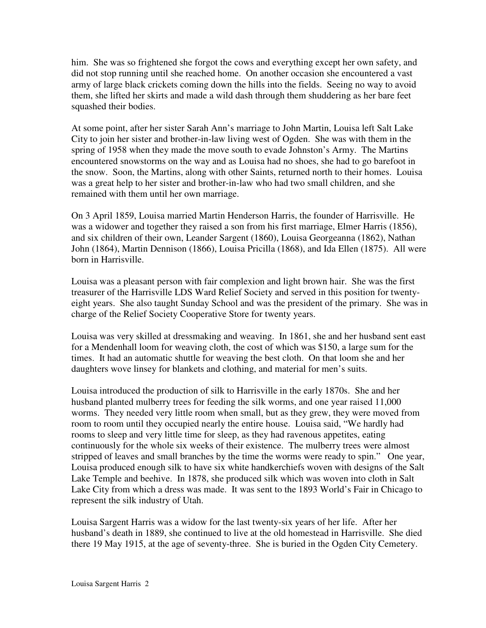him. She was so frightened she forgot the cows and everything except her own safety, and did not stop running until she reached home. On another occasion she encountered a vast army of large black crickets coming down the hills into the fields. Seeing no way to avoid them, she lifted her skirts and made a wild dash through them shuddering as her bare feet squashed their bodies.

At some point, after her sister Sarah Ann's marriage to John Martin, Louisa left Salt Lake City to join her sister and brother-in-law living west of Ogden. She was with them in the spring of 1958 when they made the move south to evade Johnston's Army. The Martins encountered snowstorms on the way and as Louisa had no shoes, she had to go barefoot in the snow. Soon, the Martins, along with other Saints, returned north to their homes. Louisa was a great help to her sister and brother-in-law who had two small children, and she remained with them until her own marriage.

On 3 April 1859, Louisa married Martin Henderson Harris, the founder of Harrisville. He was a widower and together they raised a son from his first marriage, Elmer Harris (1856), and six children of their own, Leander Sargent (1860), Louisa Georgeanna (1862), Nathan John (1864), Martin Dennison (1866), Louisa Pricilla (1868), and Ida Ellen (1875). All were born in Harrisville.

Louisa was a pleasant person with fair complexion and light brown hair. She was the first treasurer of the Harrisville LDS Ward Relief Society and served in this position for twentyeight years. She also taught Sunday School and was the president of the primary. She was in charge of the Relief Society Cooperative Store for twenty years.

Louisa was very skilled at dressmaking and weaving. In 1861, she and her husband sent east for a Mendenhall loom for weaving cloth, the cost of which was \$150, a large sum for the times. It had an automatic shuttle for weaving the best cloth. On that loom she and her daughters wove linsey for blankets and clothing, and material for men's suits.

Louisa introduced the production of silk to Harrisville in the early 1870s. She and her husband planted mulberry trees for feeding the silk worms, and one year raised 11,000 worms. They needed very little room when small, but as they grew, they were moved from room to room until they occupied nearly the entire house. Louisa said, "We hardly had rooms to sleep and very little time for sleep, as they had ravenous appetites, eating continuously for the whole six weeks of their existence. The mulberry trees were almost stripped of leaves and small branches by the time the worms were ready to spin." One year, Louisa produced enough silk to have six white handkerchiefs woven with designs of the Salt Lake Temple and beehive. In 1878, she produced silk which was woven into cloth in Salt Lake City from which a dress was made. It was sent to the 1893 World's Fair in Chicago to represent the silk industry of Utah.

Louisa Sargent Harris was a widow for the last twenty-six years of her life. After her husband's death in 1889, she continued to live at the old homestead in Harrisville. She died there 19 May 1915, at the age of seventy-three. She is buried in the Ogden City Cemetery.